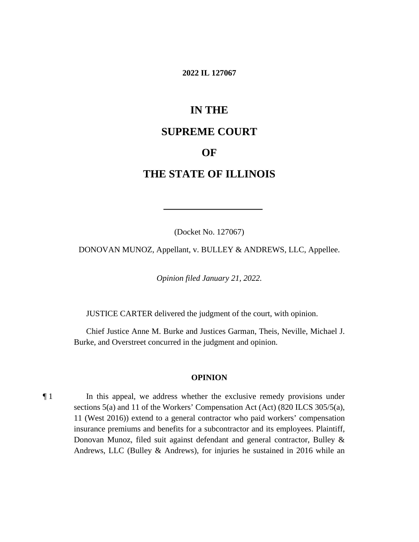#### **2022 IL 127067**

# **IN THE**

### **SUPREME COURT**

### **OF**

## **THE STATE OF ILLINOIS**

(Docket No. 127067)

DONOVAN MUNOZ, Appellant, v. BULLEY & ANDREWS, LLC, Appellee.

*Opinion filed January 21, 2022.* 

JUSTICE CARTER delivered the judgment of the court, with opinion.

 Chief Justice Anne M. Burke and Justices Garman, Theis, Neville, Michael J. Burke, and Overstreet concurred in the judgment and opinion.

#### **OPINION**

¶ 1 In this appeal, we address whether the exclusive remedy provisions under sections 5(a) and 11 of the Workers' Compensation Act (Act) (820 ILCS 305/5(a), 11 (West 2016)) extend to a general contractor who paid workers' compensation insurance premiums and benefits for a subcontractor and its employees. Plaintiff, Donovan Munoz, filed suit against defendant and general contractor, Bulley & Andrews, LLC (Bulley & Andrews), for injuries he sustained in 2016 while an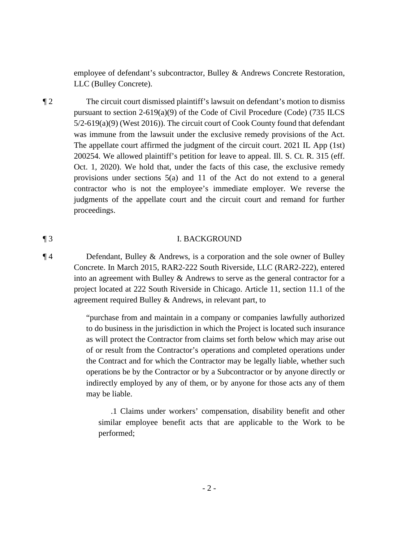employee of defendant's subcontractor, Bulley & Andrews Concrete Restoration, LLC (Bulley Concrete).

 pursuant to section 2-619(a)(9) of the Code of Civil Procedure (Code) (735 ILCS The appellate court affirmed the judgment of the circuit court. 2021 IL App (1st) provisions under sections 5(a) and 11 of the Act do not extend to a general ¶ 2 The circuit court dismissed plaintiff's lawsuit on defendant's motion to dismiss 5/2-619(a)(9) (West 2016)). The circuit court of Cook County found that defendant was immune from the lawsuit under the exclusive remedy provisions of the Act. 200254. We allowed plaintiff's petition for leave to appeal. Ill. S. Ct. R. 315 (eff. Oct. 1, 2020). We hold that, under the facts of this case, the exclusive remedy contractor who is not the employee's immediate employer. We reverse the judgments of the appellate court and the circuit court and remand for further proceedings.

#### ¶ 3 I. BACKGROUND

 into an agreement with Bulley & Andrews to serve as the general contractor for a ¶ 4 Defendant, Bulley & Andrews, is a corporation and the sole owner of Bulley Concrete. In March 2015, RAR2-222 South Riverside, LLC (RAR2-222), entered project located at 222 South Riverside in Chicago. Article 11, section 11.1 of the agreement required Bulley & Andrews, in relevant part, to

> "purchase from and maintain in a company or companies lawfully authorized to do business in the jurisdiction in which the Project is located such insurance as will protect the Contractor from claims set forth below which may arise out of or result from the Contractor's operations and completed operations under the Contract and for which the Contractor may be legally liable, whether such operations be by the Contractor or by a Subcontractor or by anyone directly or indirectly employed by any of them, or by anyone for those acts any of them may be liable.

.1 Claims under workers' compensation, disability benefit and other similar employee benefit acts that are applicable to the Work to be performed;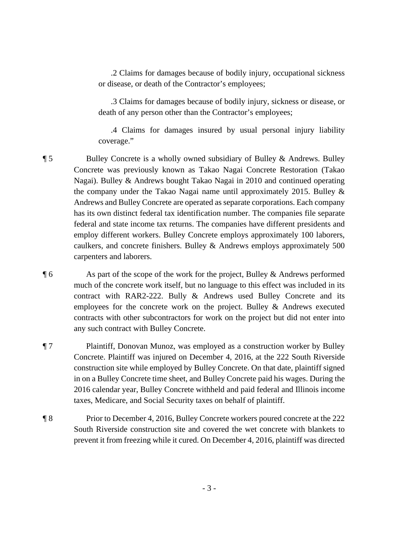or disease, or death of the Contractor's employees; .2 Claims for damages because of bodily injury, occupational sickness

 death of any person other than the Contractor's employees; .3 Claims for damages because of bodily injury, sickness or disease, or

.4 Claims for damages insured by usual personal injury liability coverage."

 has its own distinct federal tax identification number. The companies file separate ¶ 5 Bulley Concrete is a wholly owned subsidiary of Bulley & Andrews. Bulley Concrete was previously known as Takao Nagai Concrete Restoration (Takao Nagai). Bulley & Andrews bought Takao Nagai in 2010 and continued operating the company under the Takao Nagai name until approximately 2015. Bulley & Andrews and Bulley Concrete are operated as separate corporations. Each company federal and state income tax returns. The companies have different presidents and employ different workers. Bulley Concrete employs approximately 100 laborers, caulkers, and concrete finishers. Bulley & Andrews employs approximately 500 carpenters and laborers.

¶ 6 As part of the scope of the work for the project, Bulley & Andrews performed much of the concrete work itself, but no language to this effect was included in its contract with RAR2-222. Bully & Andrews used Bulley Concrete and its employees for the concrete work on the project. Bulley & Andrews executed contracts with other subcontractors for work on the project but did not enter into any such contract with Bulley Concrete.

¶ 7 Plaintiff, Donovan Munoz, was employed as a construction worker by Bulley Concrete. Plaintiff was injured on December 4, 2016, at the 222 South Riverside construction site while employed by Bulley Concrete. On that date, plaintiff signed in on a Bulley Concrete time sheet, and Bulley Concrete paid his wages. During the 2016 calendar year, Bulley Concrete withheld and paid federal and Illinois income taxes, Medicare, and Social Security taxes on behalf of plaintiff.

 prevent it from freezing while it cured. On December 4, 2016, plaintiff was directed ¶ 8 Prior to December 4, 2016, Bulley Concrete workers poured concrete at the 222 South Riverside construction site and covered the wet concrete with blankets to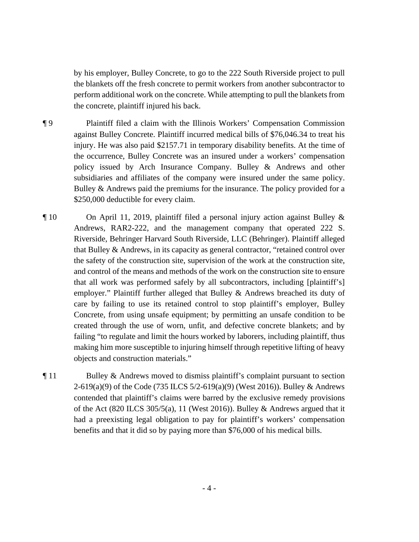by his employer, Bulley Concrete, to go to the 222 South Riverside project to pull the blankets off the fresh concrete to permit workers from another subcontractor to perform additional work on the concrete. While attempting to pull the blankets from the concrete, plaintiff injured his back.

- injury. He was also paid \$2157.71 in temporary disability benefits. At the time of policy issued by Arch Insurance Company. Bulley & Andrews and other subsidiaries and affiliates of the company were insured under the same policy. ¶ 9 Plaintiff filed a claim with the Illinois Workers' Compensation Commission against Bulley Concrete. Plaintiff incurred medical bills of [\\$76,046.34](https://76,046.34) to treat his the occurrence, Bulley Concrete was an insured under a workers' compensation Bulley & Andrews paid the premiums for the insurance. The policy provided for a \$250,000 deductible for every claim.
- and control of the means and methods of the work on the construction site to ensure objects and construction materials." ¶ 10 On April 11, 2019, plaintiff filed a personal injury action against Bulley & Andrews, RAR2-222, and the management company that operated 222 S. Riverside, Behringer Harvard South Riverside, LLC (Behringer). Plaintiff alleged that Bulley & Andrews, in its capacity as general contractor, "retained control over the safety of the construction site, supervision of the work at the construction site, that all work was performed safely by all subcontractors, including [plaintiff's] employer." Plaintiff further alleged that Bulley & Andrews breached its duty of care by failing to use its retained control to stop plaintiff's employer, Bulley Concrete, from using unsafe equipment; by permitting an unsafe condition to be created through the use of worn, unfit, and defective concrete blankets; and by failing "to regulate and limit the hours worked by laborers, including plaintiff, thus making him more susceptible to injuring himself through repetitive lifting of heavy
- ¶ 11 Bulley & Andrews moved to dismiss plaintiff's complaint pursuant to section 2-619(a)(9) of the Code (735 ILCS 5/2-619(a)(9) (West 2016)). Bulley & Andrews contended that plaintiff's claims were barred by the exclusive remedy provisions of the Act (820 ILCS 305/5(a), 11 (West 2016)). Bulley & Andrews argued that it had a preexisting legal obligation to pay for plaintiff's workers' compensation benefits and that it did so by paying more than \$76,000 of his medical bills.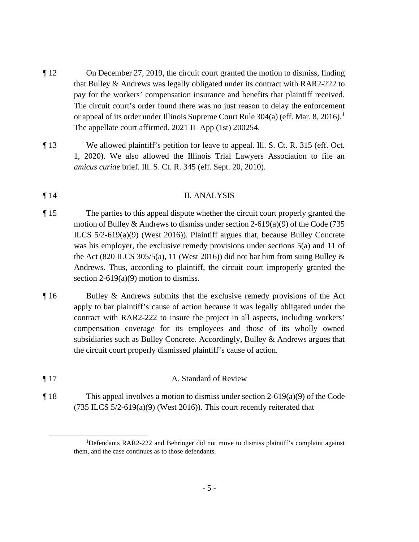- The circuit court's order found there was no just reason to delay the enforcement ¶ 12 On December 27, 2019, the circuit court granted the motion to dismiss, finding that Bulley & Andrews was legally obligated under its contract with RAR2-222 to pay for the workers' compensation insurance and benefits that plaintiff received. or appeal of its order under Illinois Supreme Court Rule  $304(a)$  (eff. Mar. 8, 2016).<sup>1</sup> The appellate court affirmed. 2021 IL App (1st) 200254.
- ¶ 13 We allowed plaintiff's petition for leave to appeal. Ill. S. Ct. R. 315 (eff. Oct. 1, 2020). We also allowed the Illinois Trial Lawyers Association to file an *amicus curiae* brief. Ill. S. Ct. R. 345 (eff. Sept. 20, 2010).

### ¶ 14 II. ANALYSIS

- was his employer, the exclusive remedy provisions under sections 5(a) and 11 of ¶ 15 The parties to this appeal dispute whether the circuit court properly granted the motion of Bulley & Andrews to dismiss under section 2-619(a)(9) of the Code (735 ILCS 5/2-619(a)(9) (West 2016)). Plaintiff argues that, because Bulley Concrete the Act (820 ILCS 305/5(a), 11 (West 2016)) did not bar him from suing Bulley  $\&$ Andrews. Thus, according to plaintiff, the circuit court improperly granted the section  $2-619(a)(9)$  motion to dismiss.
- ¶ 16 Bulley & Andrews submits that the exclusive remedy provisions of the Act apply to bar plaintiff's cause of action because it was legally obligated under the contract with RAR2-222 to insure the project in all aspects, including workers' compensation coverage for its employees and those of its wholly owned subsidiaries such as Bulley Concrete. Accordingly, Bulley & Andrews argues that the circuit court properly dismissed plaintiff's cause of action.
- ¶ 17 A. Standard of Review
- ¶ 18 This appeal involves a motion to dismiss under section 2-619(a)(9) of the Code (735 ILCS 5/2-619(a)(9) (West 2016)). This court recently reiterated that<br> $\frac{1}{10}$  referdents BAB2 222 and Behringer did not move to dismiss plaintiff's complete

 $1$ Defendants RAR2-222 and Behringer did not move to dismiss plaintiff's complaint against them, and the case continues as to those defendants.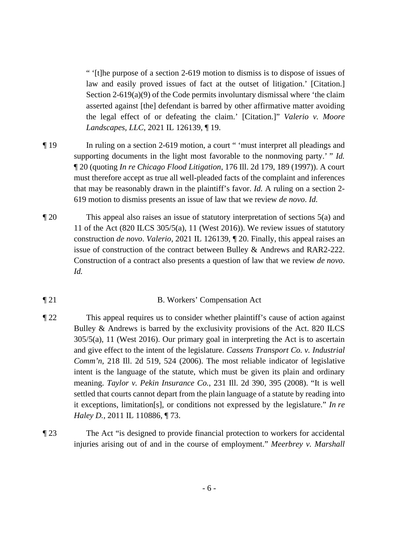" '[t]he purpose of a section 2-619 motion to dismiss is to dispose of issues of law and easily proved issues of fact at the outset of litigation.' [Citation.] Section  $2-619(a)(9)$  of the Code permits involuntary dismissal where 'the claim asserted against [the] defendant is barred by other affirmative matter avoiding the legal effect of or defeating the claim.' [Citation.]" *Valerio v. Moore Landscapes, LLC*, 2021 IL 126139, ¶ 19.

- supporting documents in the light most favorable to the nonmoving party.' " *Id.*  ¶ 19 In ruling on a section 2-619 motion, a court " 'must interpret all pleadings and ¶ 20 (quoting *In re Chicago Flood Litigation*, 176 Ill. 2d 179, 189 (1997)). A court must therefore accept as true all well-pleaded facts of the complaint and inferences that may be reasonably drawn in the plaintiff's favor. *Id.* A ruling on a section 2- 619 motion to dismiss presents an issue of law that we review *de novo*. *Id.*
- Construction of a contract also presents a question of law that we review *de novo*. ¶ 20 This appeal also raises an issue of statutory interpretation of sections 5(a) and 11 of the Act (820 ILCS 305/5(a), 11 (West 2016)). We review issues of statutory construction *de novo*. *Valerio*, 2021 IL 126139, ¶ 20. Finally, this appeal raises an issue of construction of the contract between Bulley & Andrews and RAR2-222. *Id.*

### ¶ 21 B. Workers' Compensation Act

- meaning. *Taylor v. Pekin Insurance Co.*, 231 Ill. 2d 390, 395 (2008). "It is well ¶ 22 This appeal requires us to consider whether plaintiff's cause of action against Bulley & Andrews is barred by the exclusivity provisions of the Act. 820 ILCS 305/5(a), 11 (West 2016). Our primary goal in interpreting the Act is to ascertain and give effect to the intent of the legislature. *Cassens Transport Co. v. Industrial Comm'n*, 218 Ill. 2d 519, 524 (2006). The most reliable indicator of legislative intent is the language of the statute, which must be given its plain and ordinary settled that courts cannot depart from the plain language of a statute by reading into it exceptions, limitation[s], or conditions not expressed by the legislature." *In re Haley D.*, 2011 IL 110886, ¶ 73.
- ¶ 23 The Act "is designed to provide financial protection to workers for accidental  injuries arising out of and in the course of employment." *Meerbrey v. Marshall*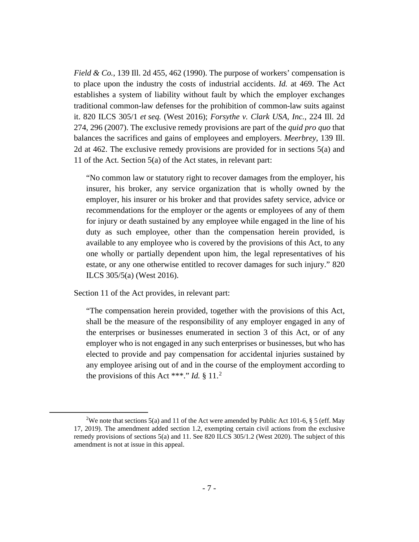*Field & Co.*, 139 Ill. 2d 455, 462 (1990). The purpose of workers' compensation is to place upon the industry the costs of industrial accidents. *Id.* at 469. The Act establishes a system of liability without fault by which the employer exchanges traditional common-law defenses for the prohibition of common-law suits against it. 820 ILCS 305/1 *et seq.* (West 2016); *Forsythe v. Clark USA, Inc.*, 224 Ill. 2d 274, 296 (2007). The exclusive remedy provisions are part of the *quid pro quo* that balances the sacrifices and gains of employees and employers. *Meerbrey*, 139 Ill. 2d at 462. The exclusive remedy provisions are provided for in sections 5(a) and 11 of the Act. Section 5(a) of the Act states, in relevant part:

 recommendations for the employer or the agents or employees of any of them "No common law or statutory right to recover damages from the employer, his insurer, his broker, any service organization that is wholly owned by the employer, his insurer or his broker and that provides safety service, advice or for injury or death sustained by any employee while engaged in the line of his duty as such employee, other than the compensation herein provided, is available to any employee who is covered by the provisions of this Act, to any one wholly or partially dependent upon him, the legal representatives of his estate, or any one otherwise entitled to recover damages for such injury." 820 ILCS 305/5(a) (West 2016).

Section 11 of the Act provides, in relevant part:

the provisions of this Act \*\*\*." *Id.* § 11.<sup>2</sup> "The compensation herein provided, together with the provisions of this Act, shall be the measure of the responsibility of any employer engaged in any of the enterprises or businesses enumerated in section 3 of this Act, or of any employer who is not engaged in any such enterprises or businesses, but who has elected to provide and pay compensation for accidental injuries sustained by any employee arising out of and in the course of the employment according to

<sup>&</sup>lt;sup>2</sup>We note that sections 5(a) and 11 of the Act were amended by Public Act 101-6, § 5 (eff. May 17, 2019). The amendment added section 1.2, exempting certain civil actions from the exclusive remedy provisions of sections 5(a) and 11. See 820 ILCS 305/1.2 (West 2020). The subject of this amendment is not at issue in this appeal.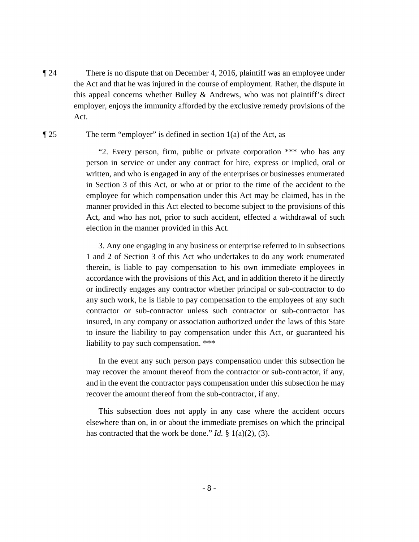¶ 24 There is no dispute that on December 4, 2016, plaintiff was an employee under the Act and that he was injured in the course of employment. Rather, the dispute in this appeal concerns whether Bulley  $\&$  Andrews, who was not plaintiff's direct employer, enjoys the immunity afforded by the exclusive remedy provisions of the Act.

#### $\llbracket 25$  The term "employer" is defined in section 1(a) of the Act, as

 manner provided in this Act elected to become subject to the provisions of this "2. Every person, firm, public or private corporation \*\*\* who has any person in service or under any contract for hire, express or implied, oral or written, and who is engaged in any of the enterprises or businesses enumerated in Section 3 of this Act, or who at or prior to the time of the accident to the employee for which compensation under this Act may be claimed, has in the Act, and who has not, prior to such accident, effected a withdrawal of such election in the manner provided in this Act.

 insured, in any company or association authorized under the laws of this State to insure the liability to pay compensation under this Act, or guaranteed his 3. Any one engaging in any business or enterprise referred to in subsections 1 and 2 of Section 3 of this Act who undertakes to do any work enumerated therein, is liable to pay compensation to his own immediate employees in accordance with the provisions of this Act, and in addition thereto if he directly or indirectly engages any contractor whether principal or sub-contractor to do any such work, he is liable to pay compensation to the employees of any such contractor or sub-contractor unless such contractor or sub-contractor has liability to pay such compensation. \*\*\*

 may recover the amount thereof from the contractor or sub-contractor, if any, In the event any such person pays compensation under this subsection he and in the event the contractor pays compensation under this subsection he may recover the amount thereof from the sub-contractor, if any.

This subsection does not apply in any case where the accident occurs elsewhere than on, in or about the immediate premises on which the principal has contracted that the work be done." *Id.* § 1(a)(2), (3).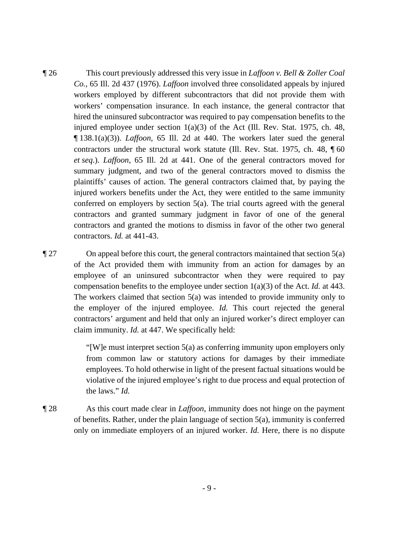¶ 138.1(a)(3)). *Laffoon*, 65 Ill. 2d at 440. The workers later sued the general  *et seq.*). *Laffoon*, 65 Ill. 2d at 441. One of the general contractors moved for conferred on employers by section 5(a). The trial courts agreed with the general contractors and granted the motions to dismiss in favor of the other two general ¶ 26 This court previously addressed this very issue in *Laffoon v. Bell & Zoller Coal Co.*, 65 Ill. 2d 437 (1976). *Laffoon* involved three consolidated appeals by injured workers employed by different subcontractors that did not provide them with workers' compensation insurance. In each instance, the general contractor that hired the uninsured subcontractor was required to pay compensation benefits to the injured employee under section  $1(a)(3)$  of the Act (Ill. Rev. Stat. 1975, ch. 48, contractors under the structural work statute (Ill. Rev. Stat. 1975, ch. 48, ¶ 60 summary judgment, and two of the general contractors moved to dismiss the plaintiffs' causes of action. The general contractors claimed that, by paying the injured workers benefits under the Act, they were entitled to the same immunity contractors and granted summary judgment in favor of one of the general contractors. *Id.* at 441-43.

 compensation benefits to the employee under section 1(a)(3) of the Act. *Id.* at 443. the employer of the injured employee. *Id.* This court rejected the general  $\P$  27 On appeal before this court, the general contractors maintained that section 5(a) of the Act provided them with immunity from an action for damages by an employee of an uninsured subcontractor when they were required to pay The workers claimed that section 5(a) was intended to provide immunity only to contractors' argument and held that only an injured worker's direct employer can claim immunity. *Id.* at 447. We specifically held:

> "[W]e must interpret section  $5(a)$  as conferring immunity upon employers only from common law or statutory actions for damages by their immediate employees. To hold otherwise in light of the present factual situations would be violative of the injured employee's right to due process and equal protection of the laws." *Id.*

 ¶ 28 As this court made clear in *Laffoon*, immunity does not hinge on the payment of benefits. Rather, under the plain language of section 5(a), immunity is conferred only on immediate employers of an injured worker. *Id.* Here, there is no dispute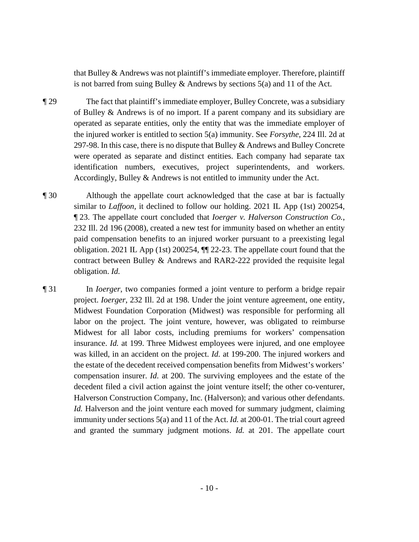that Bulley & Andrews was not plaintiff's immediate employer. Therefore, plaintiff is not barred from suing Bulley & Andrews by sections  $5(a)$  and 11 of the Act.

- operated as separate entities, only the entity that was the immediate employer of ¶ 29 The fact that plaintiff's immediate employer, Bulley Concrete, was a subsidiary of Bulley & Andrews is of no import. If a parent company and its subsidiary are the injured worker is entitled to section 5(a) immunity. See *Forsythe*, 224 Ill. 2d at 297-98. In this case, there is no dispute that Bulley & Andrews and Bulley Concrete were operated as separate and distinct entities. Each company had separate tax identification numbers, executives, project superintendents, and workers. Accordingly, Bulley & Andrews is not entitled to immunity under the Act.
- ¶ 30 Although the appellate court acknowledged that the case at bar is factually similar to *Laffoon*, it declined to follow our holding. 2021 IL App (1st) 200254, ¶ 23. The appellate court concluded that *Ioerger v. Halverson Construction Co.*, 232 Ill. 2d 196 (2008), created a new test for immunity based on whether an entity paid compensation benefits to an injured worker pursuant to a preexisting legal obligation. 2021 IL App (1st) 200254, ¶¶ 22-23. The appellate court found that the contract between Bulley & Andrews and RAR2-222 provided the requisite legal obligation. *Id.*
- Midwest for all labor costs, including premiums for workers' compensation insurance. *Id.* at 199. Three Midwest employees were injured, and one employee was killed, in an accident on the project. *Id.* at 199-200. The injured workers and compensation insurer. *Id.* at 200. The surviving employees and the estate of the decedent filed a civil action against the joint venture itself; the other co-venturer, immunity under sections 5(a) and 11 of the Act. *Id.* at 200-01. The trial court agreed and granted the summary judgment motions. *Id.* at 201. The appellate court ¶ 31 In *Ioerger*, two companies formed a joint venture to perform a bridge repair project. *Ioerger*, 232 Ill. 2d at 198. Under the joint venture agreement, one entity, Midwest Foundation Corporation (Midwest) was responsible for performing all labor on the project. The joint venture, however, was obligated to reimburse the estate of the decedent received compensation benefits from Midwest's workers' Halverson Construction Company, Inc. (Halverson); and various other defendants. *Id.* Halverson and the joint venture each moved for summary judgment, claiming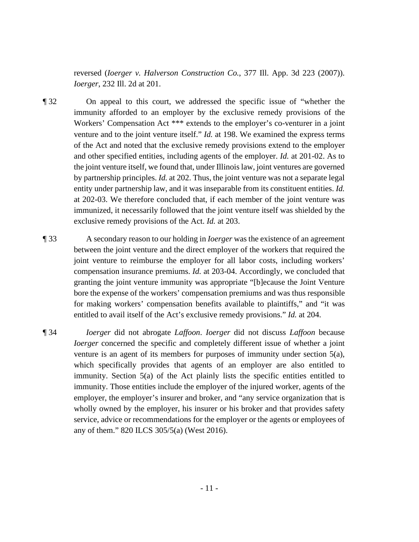reversed (*Ioerger v. Halverson Construction Co.*, 377 Ill. App. 3d 223 (2007)). *Ioerger*, 232 Ill. 2d at 201.

- the joint venture itself, we found that, under Illinois law, joint ventures are governed ¶ 32 On appeal to this court, we addressed the specific issue of "whether the immunity afforded to an employer by the exclusive remedy provisions of the Workers' Compensation Act \*\*\* extends to the employer's co-venturer in a joint venture and to the joint venture itself." *Id.* at 198. We examined the express terms of the Act and noted that the exclusive remedy provisions extend to the employer and other specified entities, including agents of the employer. *Id.* at 201-02. As to by partnership principles. *Id.* at 202. Thus, the joint venture was not a separate legal entity under partnership law, and it was inseparable from its constituent entities. *Id.*  at 202-03. We therefore concluded that, if each member of the joint venture was immunized, it necessarily followed that the joint venture itself was shielded by the exclusive remedy provisions of the Act. *Id.* at 203.
- ¶ 33 A secondary reason to our holding in *Ioerger* was the existence of an agreement between the joint venture and the direct employer of the workers that required the granting the joint venture immunity was appropriate "[b]ecause the Joint Venture joint venture to reimburse the employer for all labor costs, including workers' compensation insurance premiums. *Id.* at 203-04. Accordingly, we concluded that bore the expense of the workers' compensation premiums and was thus responsible for making workers' compensation benefits available to plaintiffs," and "it was entitled to avail itself of the Act's exclusive remedy provisions." *Id.* at 204.
- service, advice or recommendations for the employer or the agents or employees of ¶ 34 *Ioerger* did not abrogate *Laffoon*. *Ioerger* did not discuss *Laffoon* because *Ioerger* concerned the specific and completely different issue of whether a joint venture is an agent of its members for purposes of immunity under section 5(a), which specifically provides that agents of an employer are also entitled to immunity. Section 5(a) of the Act plainly lists the specific entities entitled to immunity. Those entities include the employer of the injured worker, agents of the employer, the employer's insurer and broker, and "any service organization that is wholly owned by the employer, his insurer or his broker and that provides safety any of them." 820 ILCS 305/5(a) (West 2016).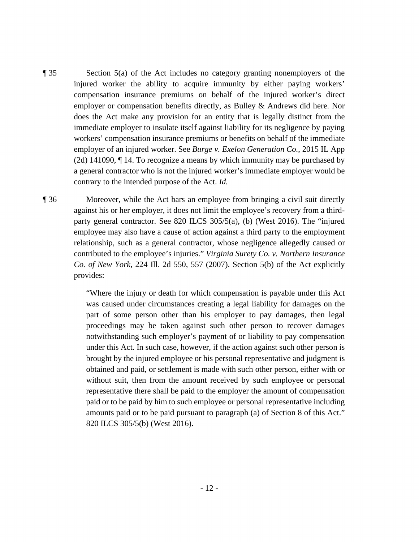- ¶ 35 Section 5(a) of the Act includes no category granting nonemployers of the injured worker the ability to acquire immunity by either paying workers' compensation insurance premiums on behalf of the injured worker's direct employer or compensation benefits directly, as Bulley & Andrews did here. Nor does the Act make any provision for an entity that is legally distinct from the immediate employer to insulate itself against liability for its negligence by paying workers' compensation insurance premiums or benefits on behalf of the immediate employer of an injured worker. See *Burge v. Exelon Generation Co.*, 2015 IL App (2d) 141090, ¶ 14. To recognize a means by which immunity may be purchased by a general contractor who is not the injured worker's immediate employer would be contrary to the intended purpose of the Act. *Id.*
- ¶ 36 Moreover, while the Act bars an employee from bringing a civil suit directly against his or her employer, it does not limit the employee's recovery from a thirdparty general contractor. See 820 ILCS 305/5(a), (b) (West 2016). The "injured employee may also have a cause of action against a third party to the employment relationship, such as a general contractor, whose negligence allegedly caused or contributed to the employee's injuries." *Virginia Surety Co. v. Northern Insurance Co. of New York*, 224 Ill. 2d 550, 557 (2007). Section 5(b) of the Act explicitly provides:

 "Where the injury or death for which compensation is payable under this Act obtained and paid, or settlement is made with such other person, either with or was caused under circumstances creating a legal liability for damages on the part of some person other than his employer to pay damages, then legal proceedings may be taken against such other person to recover damages notwithstanding such employer's payment of or liability to pay compensation under this Act. In such case, however, if the action against such other person is brought by the injured employee or his personal representative and judgment is without suit, then from the amount received by such employee or personal representative there shall be paid to the employer the amount of compensation paid or to be paid by him to such employee or personal representative including amounts paid or to be paid pursuant to paragraph (a) of Section 8 of this Act." 820 ILCS 305/5(b) (West 2016).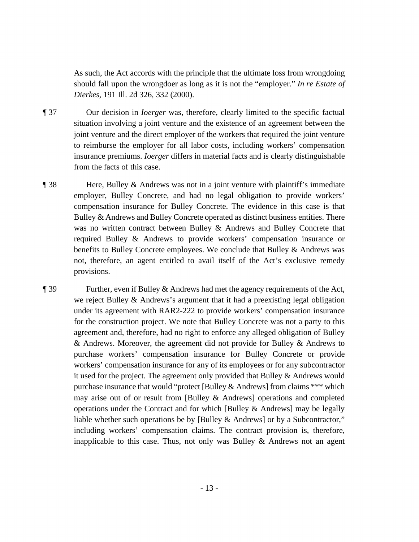As such, the Act accords with the principle that the ultimate loss from wrongdoing should fall upon the wrongdoer as long as it is not the "employer." *In re Estate of Dierkes*, 191 Ill. 2d 326, 332 (2000).

- ¶ 37 Our decision in *Ioerger* was, therefore, clearly limited to the specific factual situation involving a joint venture and the existence of an agreement between the joint venture and the direct employer of the workers that required the joint venture to reimburse the employer for all labor costs, including workers' compensation insurance premiums. *Ioerger* differs in material facts and is clearly distinguishable from the facts of this case.
- ¶ 38 Here, Bulley & Andrews was not in a joint venture with plaintiff's immediate employer, Bulley Concrete, and had no legal obligation to provide workers' compensation insurance for Bulley Concrete. The evidence in this case is that Bulley & Andrews and Bulley Concrete operated as distinct business entities. There was no written contract between Bulley & Andrews and Bulley Concrete that required Bulley & Andrews to provide workers' compensation insurance or benefits to Bulley Concrete employees. We conclude that Bulley & Andrews was not, therefore, an agent entitled to avail itself of the Act's exclusive remedy provisions.
- inapplicable to this case. Thus, not only was Bulley  $\&$  Andrews not an agent ¶ 39 Further, even if Bulley & Andrews had met the agency requirements of the Act, we reject Bulley & Andrews's argument that it had a preexisting legal obligation under its agreement with RAR2-222 to provide workers' compensation insurance for the construction project. We note that Bulley Concrete was not a party to this agreement and, therefore, had no right to enforce any alleged obligation of Bulley & Andrews. Moreover, the agreement did not provide for Bulley & Andrews to purchase workers' compensation insurance for Bulley Concrete or provide workers' compensation insurance for any of its employees or for any subcontractor it used for the project. The agreement only provided that Bulley & Andrews would purchase insurance that would "protect [Bulley & Andrews] from claims \*\*\* which may arise out of or result from [Bulley & Andrews] operations and completed operations under the Contract and for which [Bulley & Andrews] may be legally liable whether such operations be by [Bulley & Andrews] or by a Subcontractor," including workers' compensation claims. The contract provision is, therefore,